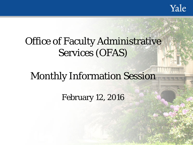Yale

# Office of Faculty Administrative Services (OFAS)

# Monthly Information Session

February 12, 2016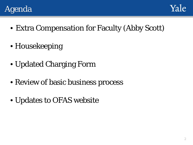



- Extra Compensation for Faculty (Abby Scott)
- Housekeeping
- Updated Charging Form
- Review of basic business process
- Updates to OFAS website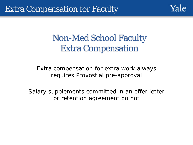

# Non-Med School Faculty Extra Compensation

Extra compensation for extra work always requires Provostial pre-approval

Salary supplements committed in an offer letter or retention agreement do not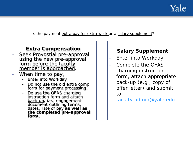

Is the payment extra pay for extra work or a salary supplement?

## **Extra Compensation**

- Seek Provostial pre-approval using the new pre-approval form before the faculty member is approached.
- When time to pay,
	- Enter into Workday
	- Do not use the old extra comp form for payment processing.
	- Do use the OFAS charging instruction form and **attach** back-up, i.e., engagement document outlining terms, dates, rate of pay **as well as the completed pre-approval form**.

## **Salary Supplement**

- Enter into Workday
- Complete the OFAS charging instruction form, attach appropriate back-up (e.g., copy of offer letter) and submit to

[faculty.admin@yale.edu](mailto:faculty.admin@yale.edu)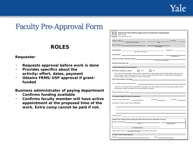Yale

## Faculty Pre-Approval Form

## **ROLES**

### **Requester**

- **Requests approval before work is done**
- **Provides specifics about the activity/effort, dates, payment**
- **Obtains FRMS/OSP approval if grantfunded**

**Business administrator of paying department**

- **Confirms funding available**
- **Confirms faculty member will have active appointment at the proposed time of the work.** *Extra comp cannot be paid if not.*

| Last modified 06-JAN-2016                                                                                                                                                                                                                                                                                                                                                                                                                               |                            |                |
|---------------------------------------------------------------------------------------------------------------------------------------------------------------------------------------------------------------------------------------------------------------------------------------------------------------------------------------------------------------------------------------------------------------------------------------------------------|----------------------------|----------------|
| Request made by:<br>Last name, First name                                                                                                                                                                                                                                                                                                                                                                                                               | <b>Title</b>               | Phone No.      |
| Date of Request:                                                                                                                                                                                                                                                                                                                                                                                                                                        | School/Dept                |                |
| Faculty Name: _______________                                                                                                                                                                                                                                                                                                                                                                                                                           |                            |                |
| Last name, First name                                                                                                                                                                                                                                                                                                                                                                                                                                   |                            |                |
| <b>Current and Active Workday Position:</b>                                                                                                                                                                                                                                                                                                                                                                                                             |                            | School/Dept    |
|                                                                                                                                                                                                                                                                                                                                                                                                                                                         | "P" number and description |                |
| I. Special Handling for Grant Payments                                                                                                                                                                                                                                                                                                                                                                                                                  |                            |                |
| I YES<br>Will this be charged to a grant?                                                                                                                                                                                                                                                                                                                                                                                                               | N <sub>O</sub>             |                |
| If yes, the services and scope of work for which compensation is being sought must be clearly detailed in the sponsored<br>project proposal. Please obtain sign-off from the Office of Sponsored Projects (OSP) or Faculty Research Management<br>Services (FRMS) before submitting to the Office of the Provost.                                                                                                                                       |                            |                |
| <b>Grant Award Number and Name:</b>                                                                                                                                                                                                                                                                                                                                                                                                                     |                            |                |
|                                                                                                                                                                                                                                                                                                                                                                                                                                                         |                            |                |
|                                                                                                                                                                                                                                                                                                                                                                                                                                                         |                            |                |
| I certify that I am familiar with the requirements of this grant, that I have reviewed this extra compensation request and that<br>this payment is clearly accounted in this sponsored project's proposal.                                                                                                                                                                                                                                              |                            |                |
|                                                                                                                                                                                                                                                                                                                                                                                                                                                         |                            |                |
|                                                                                                                                                                                                                                                                                                                                                                                                                                                         |                            |                |
|                                                                                                                                                                                                                                                                                                                                                                                                                                                         | Start Date: 1986           | End Date:      |
|                                                                                                                                                                                                                                                                                                                                                                                                                                                         |                            |                |
|                                                                                                                                                                                                                                                                                                                                                                                                                                                         |                            |                |
|                                                                                                                                                                                                                                                                                                                                                                                                                                                         |                            |                |
|                                                                                                                                                                                                                                                                                                                                                                                                                                                         |                            |                |
|                                                                                                                                                                                                                                                                                                                                                                                                                                                         |                            |                |
|                                                                                                                                                                                                                                                                                                                                                                                                                                                         |                            |                |
| Name                                                                                                                                                                                                                                                                                                                                                                                                                                                    |                            | Signature/Date |
| School/Department                                                                                                                                                                                                                                                                                                                                                                                                                                       |                            |                |
| OSP or FRMS Authorizer Name and Title:<br>Authorizer Signature and Date: ___________<br>II. Exception Request for Extra Compensation<br>Payment Amount Requested: \$<br>Description of Duties (scope of work, deliverables):<br>Funding Source:<br>I approve the funding of this request and confirm that the above information is correct.<br>Business Administrator:<br>Please submit this form to provostforms@yale.edu in the Office of the Provost |                            |                |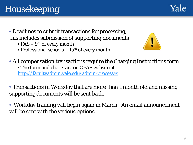

• Deadlines to submit transactions for processing, this *includes submission of supporting documents*

- FAS 9<sup>th</sup> of every month
- Professional schools  $-15<sup>th</sup>$  of every month



• All compensation transactions require the Charging Instructions form • The form and charts are on OFAS website at <http://facultyadmin.yale.edu/admin-processes>

• Transactions in Workday that are more than 1 month old and missing supporting documents will be sent back.

• Workday training will begin again in March. An email announcement will be sent with the various options.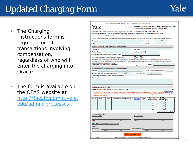# Updated Charging Form

Yale

- The Charging Instructions form is required for all transactions involving compensation, regardless of who will enter the charging into Oracle.
- The form is available on the OFAS website at [http://facultyadmin.yale.](http://facultyadmin.yale.edu/admin-processes) edu/admin-processes .

|                          |                                                                                                                       |       |  | Note: Please download and save this form locally before completing.                                                                                                                                                                                                                                                          |                              |                  |                          |                                    |      |
|--------------------------|-----------------------------------------------------------------------------------------------------------------------|-------|--|------------------------------------------------------------------------------------------------------------------------------------------------------------------------------------------------------------------------------------------------------------------------------------------------------------------------------|------------------------------|------------------|--------------------------|------------------------------------|------|
|                          | Vale<br><b>CHARGING INSTRUCTIONS FOR FACULTY COMPENSATION</b><br>Required for all transactions involving compensation |       |  |                                                                                                                                                                                                                                                                                                                              |                              |                  |                          |                                    |      |
|                          |                                                                                                                       |       |  | Instructions: For all transactions involving compensation, complete and email this form to the Office of Faculty<br>Administrative Services (OFAS) at faculty.admin@yale.edu. This form is used to obtain the necessary approvals of the<br>compensation and charging instructions from the Provost's Office if appropriate. |                              |                  |                          |                                    |      |
|                          |                                                                                                                       |       |  | Note: If yours is not the supervisory organization for the faculty member use this form to provide compensation instructions to that organization.                                                                                                                                                                           |                              |                  |                          |                                    |      |
| Prepared by:             |                                                                                                                       |       |  |                                                                                                                                                                                                                                                                                                                              |                              |                  | Date:                    | <b>Contract Contract</b>           |      |
| Dept:                    |                                                                                                                       |       |  |                                                                                                                                                                                                                                                                                                                              |                              |                  | Phone:                   |                                    |      |
|                          |                                                                                                                       |       |  | 1. FACULTY INFORMATION (SHOULD MATCH WORKDAY)                                                                                                                                                                                                                                                                                |                              |                  |                          |                                    |      |
| Last Name:               |                                                                                                                       |       |  |                                                                                                                                                                                                                                                                                                                              | <b>First Name:</b>           |                  |                          |                                    |      |
| Position/Rank:           |                                                                                                                       |       |  |                                                                                                                                                                                                                                                                                                                              | Employee # or NetID:         |                  |                          |                                    |      |
|                          | Supervisory Organization Name (Primary Dept.):                                                                        |       |  |                                                                                                                                                                                                                                                                                                                              |                              |                  |                          |                                    |      |
|                          | Is this faculty member in your supervisory organization?                                                              |       |  |                                                                                                                                                                                                                                                                                                                              | <b>Yes</b>                   | <b>No</b>        |                          |                                    |      |
|                          |                                                                                                                       |       |  | *If not, this form will need to be authorized by the paying department and sent to the faculty member's supervisory organization for entry into<br>Workday. In this case please provide enough information in the "Additional Information" box below for them to be able to enter the appropriate                            |                              |                  |                          |                                    |      |
|                          | reason for this compensation into Workday.                                                                            |       |  |                                                                                                                                                                                                                                                                                                                              |                              |                  |                          |                                    |      |
|                          | Signature of Non-supervisory Organization: _                                                                          |       |  | Name                                                                                                                                                                                                                                                                                                                         | Date                         |                  | Name:                    |                                    |      |
|                          |                                                                                                                       |       |  | 2. COMPENSATION INFORMATION (for this transaction only)                                                                                                                                                                                                                                                                      |                              |                  |                          |                                    |      |
| Reason:                  |                                                                                                                       |       |  |                                                                                                                                                                                                                                                                                                                              |                              | ▾╎               |                          | FTE % time (=scheduled hrs/40):    |      |
|                          | Effective start date for this compensation:                                                                           |       |  |                                                                                                                                                                                                                                                                                                                              |                              | End (stop) date: | - <del>- 보</del>         |                                    |      |
|                          |                                                                                                                       |       |  | Compensation amount (Total of this transaction only): \$                                                                                                                                                                                                                                                                     |                              |                  |                          |                                    |      |
|                          | Additional information:                                                                                               |       |  |                                                                                                                                                                                                                                                                                                                              |                              |                  |                          |                                    |      |
|                          |                                                                                                                       |       |  |                                                                                                                                                                                                                                                                                                                              |                              |                  |                          |                                    |      |
|                          |                                                                                                                       |       |  |                                                                                                                                                                                                                                                                                                                              |                              |                  |                          |                                    |      |
|                          |                                                                                                                       |       |  |                                                                                                                                                                                                                                                                                                                              |                              |                  |                          |                                    |      |
|                          | <b>3. CHARGING INSTRUCTIONS</b>                                                                                       |       |  |                                                                                                                                                                                                                                                                                                                              |                              |                  |                          |                                    |      |
|                          |                                                                                                                       |       |  | Please indicate who will be entering the charging into Oracle:                                                                                                                                                                                                                                                               |                              | $\ddotsc$        |                          |                                    |      |
|                          |                                                                                                                       |       |  | Please verify that the PTAEO you are submitting is a valid working PTAEO by using the PTAEO validator (click here).<br>Note: Be sure to select "Labor" for the Transaction Type. This information is required regardless of who is entering                                                                                  |                              |                  |                          |                                    |      |
|                          | charging into Oracle.                                                                                                 |       |  |                                                                                                                                                                                                                                                                                                                              |                              |                  |                          |                                    |      |
| Project                  | <b>Task</b>                                                                                                           | Award |  | Award Source and Information                                                                                                                                                                                                                                                                                                 | <b>Exp Type</b>              | Org #            | <b>Start Date</b>        | <b>End Date</b>                    | $\%$ |
|                          |                                                                                                                       |       |  |                                                                                                                                                                                                                                                                                                                              |                              |                  | day month year<br>العباب | day month year<br>العاددا          |      |
|                          |                                                                                                                       |       |  |                                                                                                                                                                                                                                                                                                                              |                              |                  | $\overline{a}$           | $\cdot -$                          |      |
|                          |                                                                                                                       |       |  |                                                                                                                                                                                                                                                                                                                              |                              |                  | ات .                     | $\cdot$ . $-$                      |      |
|                          |                                                                                                                       |       |  |                                                                                                                                                                                                                                                                                                                              |                              |                  | العباب                   | $\overline{1}$                     |      |
|                          |                                                                                                                       |       |  |                                                                                                                                                                                                                                                                                                                              |                              |                  | $\cdot -$                | $\cdot$ $\cdot$<br>must total 100% | 0.00 |
|                          |                                                                                                                       |       |  |                                                                                                                                                                                                                                                                                                                              |                              |                  |                          |                                    |      |
| <b>FAS Dean's Office</b> | <b>Final Authorization(s):</b>                                                                                        |       |  |                                                                                                                                                                                                                                                                                                                              | Provost's Office             |                  |                          |                                    |      |
|                          |                                                                                                                       |       |  |                                                                                                                                                                                                                                                                                                                              |                              |                  |                          |                                    |      |
| Name                     |                                                                                                                       |       |  | Date                                                                                                                                                                                                                                                                                                                         | Name                         |                  |                          | Date                               |      |
|                          |                                                                                                                       |       |  |                                                                                                                                                                                                                                                                                                                              |                              |                  |                          |                                    |      |
|                          | Office of Faculty Administrative Services use only                                                                    |       |  |                                                                                                                                                                                                                                                                                                                              |                              |                  |                          |                                    |      |
| Notes:<br>Reviewed by:   |                                                                                                                       |       |  |                                                                                                                                                                                                                                                                                                                              |                              |                  |                          |                                    |      |
|                          |                                                                                                                       | Name  |  | Date                                                                                                                                                                                                                                                                                                                         | Approved In WD by:           |                  | Name                     | Date                               |      |
|                          |                                                                                                                       |       |  |                                                                                                                                                                                                                                                                                                                              |                              |                  |                          |                                    |      |
|                          |                                                                                                                       |       |  |                                                                                                                                                                                                                                                                                                                              | <b>Verify and Print Form</b> |                  |                          |                                    |      |
| 2/10/2016                |                                                                                                                       |       |  | Submit completed forms, or ask questions, by emailing faoufty, administrate.edu                                                                                                                                                                                                                                              |                              |                  |                          |                                    |      |
|                          |                                                                                                                       |       |  |                                                                                                                                                                                                                                                                                                                              |                              |                  |                          |                                    |      |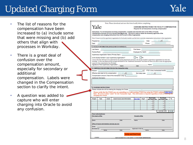# Updated Charging Form

- The list of reasons for the compensation have been increased to (a) include some that were missing and (b) add others that align with processes in Workday.
- There is a great deal of confusion over the compensation amount, especially for secondary or additional compensation. Labels were changed in the Compensation section to clarify the intent.
- A question was added to capture who will enter charging into Oracle to avoid any confusion.

|                          | Yale                                        |       |                                                                                                                                                                                                                                                                                                                              |                              |           | <b>CHARGING INSTRUCTIONS FOR FACULTY COMPENSATION</b><br>Required for all transactions involving compensation |                          |           |
|--------------------------|---------------------------------------------|-------|------------------------------------------------------------------------------------------------------------------------------------------------------------------------------------------------------------------------------------------------------------------------------------------------------------------------------|------------------------------|-----------|---------------------------------------------------------------------------------------------------------------|--------------------------|-----------|
|                          |                                             |       | Instructions: For all transactions involving compensation, complete and email this form to the Office of Faculty<br>Administrative Services (OFAS) at faculty.admin@yale.edu. This form is used to obtain the necessary approvals of the<br>compensation and charging instructions from the Provost's Office if appropriate. |                              |           |                                                                                                               |                          |           |
|                          |                                             |       | Note: If yours is not the supervisory organization for the faculty member use this form to provide compensation instructions to that organization.                                                                                                                                                                           |                              |           |                                                                                                               |                          |           |
| Prepared by:             |                                             |       |                                                                                                                                                                                                                                                                                                                              |                              |           | Date:                                                                                                         |                          |           |
| Dept:                    |                                             |       |                                                                                                                                                                                                                                                                                                                              |                              |           | Phone:                                                                                                        |                          |           |
|                          |                                             |       | 1. FACULTY INFORMATION (SHOULD MATCH WORKDAY)                                                                                                                                                                                                                                                                                |                              |           |                                                                                                               |                          |           |
| Last Name:               |                                             |       |                                                                                                                                                                                                                                                                                                                              | <b>First Name:</b>           |           |                                                                                                               |                          |           |
| Position/Rank:           |                                             |       |                                                                                                                                                                                                                                                                                                                              | Employee # or NetID:         |           |                                                                                                               |                          |           |
|                          |                                             |       | Supervisory Organization Name (Primary Dept.):                                                                                                                                                                                                                                                                               |                              |           |                                                                                                               |                          |           |
|                          |                                             |       | Is this faculty member in your supervisory organization?                                                                                                                                                                                                                                                                     | Yes                          | <b>No</b> |                                                                                                               |                          |           |
|                          |                                             |       | *If not, this form will need to be authorized by the paying department and sent to the faculty member's supervisory organization for entry into                                                                                                                                                                              |                              |           |                                                                                                               |                          |           |
|                          | reason for this compensation into Workday.  |       | Workday. In this case please provide enough information in the "Additional Information" box below for them to be able to enter the appropriate                                                                                                                                                                               |                              |           |                                                                                                               |                          |           |
|                          | Signature of Non-supervisory Organization:  |       |                                                                                                                                                                                                                                                                                                                              |                              |           | Name:                                                                                                         |                          |           |
|                          |                                             |       | Name                                                                                                                                                                                                                                                                                                                         | Date                         |           |                                                                                                               |                          |           |
|                          |                                             |       | 2. COMPENSATION INFORMATION (for this transaction only)                                                                                                                                                                                                                                                                      |                              |           |                                                                                                               |                          |           |
| Reason:                  |                                             |       |                                                                                                                                                                                                                                                                                                                              |                              | ▾╎        | FTE % time (=scheduled hrs/40):                                                                               |                          |           |
|                          | Effective start date for this compensation: |       | $-1$                                                                                                                                                                                                                                                                                                                         |                              |           | End (stop) date: $\qquad \qquad \qquad \qquad$                                                                |                          |           |
|                          |                                             |       | Compensation amount (Total of this transaction only): \$                                                                                                                                                                                                                                                                     |                              |           |                                                                                                               |                          |           |
|                          |                                             |       |                                                                                                                                                                                                                                                                                                                              |                              |           |                                                                                                               |                          |           |
| Additional information:  |                                             |       |                                                                                                                                                                                                                                                                                                                              |                              |           |                                                                                                               |                          |           |
|                          | <b>3. CHARGING INSTRUCTIONS</b>             |       |                                                                                                                                                                                                                                                                                                                              |                              |           |                                                                                                               |                          |           |
|                          |                                             |       | Please indicate who will be entering the charging into Oracle:                                                                                                                                                                                                                                                               |                              |           |                                                                                                               |                          |           |
|                          | charging into Oracle.                       |       | Please verify that the PTAEO you are submitting is a valid working PTAEO by using the PTAEO validator (click here).<br>Note: Be sure to select "Labor" for the Transaction Type. This information is required regardless of who is entering the                                                                              |                              |           |                                                                                                               |                          |           |
| Project                  | <b>Task</b>                                 | Award | <b>Award Source and Information</b>                                                                                                                                                                                                                                                                                          | <b>Exp Type</b>              | Org $#$   | Start Date                                                                                                    | <b>End Date</b>          |           |
|                          |                                             |       |                                                                                                                                                                                                                                                                                                                              |                              |           | day month year<br><u>ا د .</u> .                                                                              | day month year<br>العباب |           |
|                          |                                             |       |                                                                                                                                                                                                                                                                                                                              |                              |           | $\cdot -$                                                                                                     | 医三角                      |           |
|                          |                                             |       |                                                                                                                                                                                                                                                                                                                              |                              |           | العباء                                                                                                        | العباء                   |           |
|                          |                                             |       |                                                                                                                                                                                                                                                                                                                              |                              |           | العباب                                                                                                        | $\cdot$ $\cdot$          |           |
|                          |                                             |       |                                                                                                                                                                                                                                                                                                                              |                              |           | $\cdot$ $\cdot$                                                                                               | $\sim$ $-1$              |           |
|                          |                                             |       |                                                                                                                                                                                                                                                                                                                              |                              |           |                                                                                                               | must total 100%          |           |
| <b>FAS Dean's Office</b> | Final Authorization(s):                     |       |                                                                                                                                                                                                                                                                                                                              | Provost's Office             |           |                                                                                                               |                          | %<br>0.00 |
| Name                     |                                             |       | Date                                                                                                                                                                                                                                                                                                                         | Name                         |           |                                                                                                               | Date                     |           |
|                          |                                             |       | Office of Faculty Administrative Services use only                                                                                                                                                                                                                                                                           |                              |           |                                                                                                               |                          |           |
|                          |                                             |       |                                                                                                                                                                                                                                                                                                                              |                              |           |                                                                                                               |                          |           |
| Notes:                   |                                             |       |                                                                                                                                                                                                                                                                                                                              |                              |           |                                                                                                               |                          |           |
| Reviewed by:             |                                             | Name  | <b>Date</b>                                                                                                                                                                                                                                                                                                                  | Approved in WD by:           |           | Name                                                                                                          | Date                     |           |
|                          |                                             |       |                                                                                                                                                                                                                                                                                                                              | <b>Verify and Print Form</b> |           |                                                                                                               |                          |           |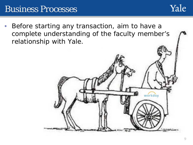## Business Processes

- Yale
- Before starting any transaction, aim to have a complete understanding of the faculty member's relationship with Yale.

workday.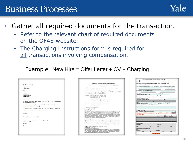## Business Processes

- Nale
- Gather all required documents for the transaction.
	- Refer to the relevant chart of required documents on the OFAS website.
	- The Charging Instructions form is required for *all* transactions involving compensation.

Example: New Hire = Offer Letter  $+$  CV  $+$  Charging

|                                                                                             |                                                                                                                                                                                                                                 | Note: Please download and save this form locally before completing.                                                                                                                                                                                                                                                            |
|---------------------------------------------------------------------------------------------|---------------------------------------------------------------------------------------------------------------------------------------------------------------------------------------------------------------------------------|--------------------------------------------------------------------------------------------------------------------------------------------------------------------------------------------------------------------------------------------------------------------------------------------------------------------------------|
|                                                                                             |                                                                                                                                                                                                                                 | Yale<br>CHARGING INSTRUCTIONS FOR FACULTY COMPENSATIO<br>Required for all transactions involving compensation                                                                                                                                                                                                                  |
| Nour Company's Name]                                                                        | Postdoctoral Research Applicant (Materials Science)<br>427 Campus Walk Ave. 38A, Darbam, NC 27303 + (919)809-60541910023-7374.6 prof laborates                                                                                  | Instructions: For all transactions involving compensation, complete and email this form to the Office of Faculty<br>Administrative bervious (OFAS) at faculty administrate edu. This form is used to obtain the necessary approvals of the<br>compensation and charging instructions from the Provosi's Office if appropriats. |
| Street Address                                                                              | litte the excellable admin-                                                                                                                                                                                                     | Note If yours is not the supervisory organization for the faculty member use this form to provide compensation instructions to that organization.                                                                                                                                                                              |
| [City, State Zip Code]                                                                      | PROFILE:                                                                                                                                                                                                                        | Prepared by:                                                                                                                                                                                                                                                                                                                   |
| [Phone Number]                                                                              | · Highly self-motivated Ph.D. candidate with demonstrated coverels expertise prowing semiconductor                                                                                                                              | <b>Dept:</b>                                                                                                                                                                                                                                                                                                                   |
| [Date]                                                                                      | nanostructures. Strong interpersonal skills                                                                                                                                                                                     | 1. FACULTY INFORMATION (SHOULD MATCH WORKDAY)                                                                                                                                                                                                                                                                                  |
|                                                                                             | · Experimental techniques: e-gun evaporation, molecular beam epitaxy (MBE)<br>· Rich experience in modeling and computer simulation, using MatLab, FlexPDE, Mathematica, and PSPICE                                             | First Name:<br><b>Last Name:</b>                                                                                                                                                                                                                                                                                               |
| [Recipient Name]                                                                            | Additional experience in digital circuit design using VHDI.                                                                                                                                                                     | Position/Rank and Contract in the Contract of the Contract of the Contract of the Contract of the Contract of<br>Employee # or NettD:                                                                                                                                                                                          |
| <b>IStreet Addressi</b>                                                                     | · Computer skills: Unix/Linux/Windows: HTML, LaTeX; C/C++, etc.                                                                                                                                                                 | Supervisory Organization Name (Primary Dept.):                                                                                                                                                                                                                                                                                 |
| [City, State Zip Code]                                                                      | EDUCATION: Dake University, Darham, NC (GPA: 4.0/4.0)                                                                                                                                                                           |                                                                                                                                                                                                                                                                                                                                |
| [Phone Number]                                                                              | Ph.D. Materials Science, June 2007 (expected)                                                                                                                                                                                   | The The<br>Is this faculty member in your supervisory organization?                                                                                                                                                                                                                                                            |
|                                                                                             | M.S. Materials Science, 2005                                                                                                                                                                                                    | "If not, this form will need to be authorized by the paying department and sent to the faculty member's supervisory organization for entry into<br>Workday. In this case please provide enough information in the "Additional Information" fox below for them to be able to enter the appropriate                              |
| Dear [Name of Recipient],                                                                   | Tilagkas University, Brijing, P.R. China (GPA: 3.8/4.9)                                                                                                                                                                         | reason for this compensation into Workday.                                                                                                                                                                                                                                                                                     |
|                                                                                             | B.S. Materials Science and Engineering, 2002.                                                                                                                                                                                   | Signature of Non-supervisory Organization: Marrie                                                                                                                                                                                                                                                                              |
| [Introduction - State the company's name and extend them a job. Give them details about the | Graduated with benors, 2002; First degree fellowskip, 1998-2002.                                                                                                                                                                | 2. COMPENSATION INFORMATION (for this transaction celly)                                                                                                                                                                                                                                                                       |
| position and their department.]                                                             | · Semiconductor process engineering<br><b>RESEARCH</b>                                                                                                                                                                          | FTE % time (restheduled hrs/40):<br>Reason:                                                                                                                                                                                                                                                                                    |
|                                                                                             | INTERESTS: . Modeling and simulation of semiconductor processes                                                                                                                                                                 | Effective start date for this compensation: [14] [14]                                                                                                                                                                                                                                                                          |
| [Let them know what they get if they accept the job. This would include salary, benefits.   | · Reliability study and failure analysis                                                                                                                                                                                        | Compensation amount (Total of this transaction only): \$                                                                                                                                                                                                                                                                       |
| bonuses, stocks, etc. Identify a start date.]                                               | · Electronic packaging                                                                                                                                                                                                          | Additional information:                                                                                                                                                                                                                                                                                                        |
|                                                                                             | <b>ENGINEERING RESEARCH EXPERIENCE</b>                                                                                                                                                                                          |                                                                                                                                                                                                                                                                                                                                |
| [Let them know by what date they need to respond to the offer and when their hire date is.] | Dake University, Dorken, NC                                                                                                                                                                                                     |                                                                                                                                                                                                                                                                                                                                |
|                                                                                             | Ph.D. Candidate, 2002-persons                                                                                                                                                                                                   | 3. CHARGING INSTRUCTIONS                                                                                                                                                                                                                                                                                                       |
| [Let them know to whom they will report and whom to call if any questions arise.]           | « Naturative growth<br>Proposed a model determining the obtainable minimum size of nanowints (NWs) grown by vapor-liquid-solid                                                                                                  | Please incloate who will be entering the charging into Oracle:                                                                                                                                                                                                                                                                 |
|                                                                                             | (VLS) process, one of the most important methods for growing semiconductor nanostructures. Revived the                                                                                                                          | Please verify that the PTAEO you are submitting is a valid working PTAEO by using the PTAEO validate (olick here)                                                                                                                                                                                                              |
| Sincerely.                                                                                  | study on VLS mechanisms, and sparred a flurry of papers on the thermodynamic and kinetic analysis of the                                                                                                                        | Note: Be save to select "Labor" for the Transaction Type. This information is required regardless of who is entering the                                                                                                                                                                                                       |
|                                                                                             | psycess. Durived the growth rate formula, for the first time in the literature, using all physically meaningful<br>quantities without empirical fitting factors. Established a novel growth model by assuming a two-dimensional | charging into Oracle.                                                                                                                                                                                                                                                                                                          |
| (Sign here for letters sent by mail or fax)                                                 | island mechation-growth process, which is to the best of my knowledge, currently the only model that can                                                                                                                        | <b>Start Date</b><br>ay month year<br>End Date<br>for month year   %<br>Project<br>Award Source and Information<br><b>Sp Type Org #</b><br><b>Task</b><br>Award                                                                                                                                                                |
|                                                                                             | fit an extensive set of growth rate data on Si whiskers/nanowires.                                                                                                                                                              | $-1$<br>$-1$<br>$-1$<br>$-1$                                                                                                                                                                                                                                                                                                   |
|                                                                                             | » Diffusion and gettering                                                                                                                                                                                                       | $-1.7$<br>$-7.1$                                                                                                                                                                                                                                                                                                               |
| [Your Name (or the name of the person who is doing the hiring]                              | Explained how volume misfits between the metal precipitates and Si drastically probings the time needed for                                                                                                                     | <b>CALL</b><br><b>LELI</b>                                                                                                                                                                                                                                                                                                     |
| Title - if applicable]                                                                      | Al gettering of solar cell Si. Proposed methods to effectively reduce the gettering time in the presence of                                                                                                                     | $-1.1$<br>$1.1 - 1.0$                                                                                                                                                                                                                                                                                                          |
|                                                                                             | mital precipitates. Demonstrated that optical-assisted Al genering process can reduce Al genering time from<br>tens of hours to ceveral minutes. Commibuted to the understanding of the prodominance of alternate diffusion     | must lista! 100%   0.00                                                                                                                                                                                                                                                                                                        |
| <b>Enclosures:</b>                                                                          | mechanisms for the interstitial-substitutional impurities in Si. (Above projects are financially supported by                                                                                                                   | Final Authorization(a)<br>EAS Dean's Office                                                                                                                                                                                                                                                                                    |
| CC:                                                                                         | National Renewable Energy Laboratory (NRIE)).                                                                                                                                                                                   | <b>Republica Office</b>                                                                                                                                                                                                                                                                                                        |
|                                                                                             | Max-Plank-destitute for Microstructure Physics, Halle, Germany,                                                                                                                                                                 | <b>Safe</b>                                                                                                                                                                                                                                                                                                                    |
|                                                                                             | Visiting Scientist, Oct-Dec 2005                                                                                                                                                                                                |                                                                                                                                                                                                                                                                                                                                |
|                                                                                             | - Naturality morphology-villamical tension                                                                                                                                                                                      | Office of Faculty Administrative Services use only.                                                                                                                                                                                                                                                                            |
|                                                                                             | Formulated a model for describing the morphology of the growing nanowire, from the beginning of growth to<br>other a steadily growing wire with a constant diameter or a hillock for which the growth process terminates.       | <b>Notes:</b><br>Approved in WD by:<br>Reviewed by                                                                                                                                                                                                                                                                             |
|                                                                                             | Included, for the first time in the literature, a dynamic clientical tension in analyzing the system equilibrium                                                                                                                | Name<br><b>Name</b><br>Date<br>Date:                                                                                                                                                                                                                                                                                           |
|                                                                                             | configuration, in addition to the normally considered static physical tensions.                                                                                                                                                 |                                                                                                                                                                                                                                                                                                                                |
|                                                                                             |                                                                                                                                                                                                                                 | Verify and Print Form                                                                                                                                                                                                                                                                                                          |
|                                                                                             |                                                                                                                                                                                                                                 | 2102016<br>Subject convenient forms, or will in writings, the weather function is                                                                                                                                                                                                                                              |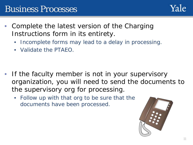

- Complete the latest version of the Charging Instructions form in its entirety.
	- Incomplete forms may lead to a delay in processing.
	- Validate the PTAEO.

- If the faculty member is not in your supervisory organization, you will need to send the documents to the supervisory org for processing.
	- Follow up with that org to be sure that the documents have been processed.

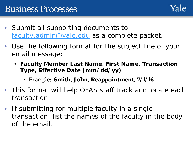

- Submit all supporting documents to [faculty.admin@yale.edu](mailto:faculty.admin@yale.edu) as a complete packet.
- Use the following format for the subject line of your email message:
	- **Faculty Member Last Name**, **First Name**, **Transaction Type, Effective Date (mm/dd/yy)**
		- Example: **Smith, John, Reappointment, 7/1/16**
- This format will help OFAS staff track and locate each transaction.
- If submitting for multiple faculty in a single transaction, list the names of the faculty in the body of the email.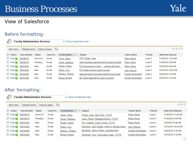## View of Salesforce

### Before formatting:

| V                                                                                               | <b>Faculty Administrative Services</b> |           |          | • Clone   Create New View |                                                |                       |          |                    |  |  |
|-------------------------------------------------------------------------------------------------|----------------------------------------|-----------|----------|---------------------------|------------------------------------------------|-----------------------|----------|--------------------|--|--|
| $A \mid B \mid C \mid D$<br>$\Omega$<br>Close as Spam<br><b>Change Owner</b><br><b>New Case</b> |                                        |           |          |                           |                                                |                       |          |                    |  |  |
| <b>Action</b>                                                                                   | <b>Case Number</b>                     | Status    | Case Ori | Contact Name <sup>+</sup> | <b>Subject</b>                                 | <b>Owner Name</b>     | Priority | Date/Time Opened   |  |  |
| $\Box$ Edit $\Box$                                                                              | 00539213                               | Work in P | Email    | Jones, Mary               | FW: Smart, Juan                                | Plano, Rose           | Level 3  | 1/14/2016 11:49 AM |  |  |
| $\Box$ Edit $\Box$                                                                              | 00539315                               | Pending   | Email    | Smith, Barbara            | Verify Workday Appointment for Several Faculty | Plano, Rose           | Level 3  | 1/14/2016 2:06 PM  |  |  |
| $\Box$ Edit $\Box$                                                                              | 00541544                               | New       | Email    | Roads, Diane              | Psychoceramics raise - January Mid Term        | Plano, Rose           | Level 3  | 1/22/2016 9:48 AM  |  |  |
|                                                                                                 | Edit   4 00543242                      | New       | Email    | Read, Lucy                | FW: faculty January payroll issues             | <b>Isler, Sherice</b> | Level 3  | 1/27/2016 12:26 PM |  |  |
| $\Box$ Edit $\Box$                                                                              | 00542488                               | New       | Email    | Manley, Sharon            | appointment for Workday entry/Provost review   | Faculty Administrat   | Level 3  | 1/25/2016 4:16 PM  |  |  |
| $\Box$ Edit $\Box$                                                                              | 00543394                               | New       | Email    | Burger, Robert            | RE: Need approval for salary increase          | Faculty Administrat   | Level 3  | 1/27/2016 3:32 PM  |  |  |

### After formatting:

n

**Faculty Administrative Services** 

- Clone | Create New View

| $A \mid B \mid C$<br>$\Omega$<br>Close as Spam<br><b>Change Owner</b><br><b>New Case</b> |                    |               |          |                |                                            |                       |                 |                    |
|------------------------------------------------------------------------------------------|--------------------|---------------|----------|----------------|--------------------------------------------|-----------------------|-----------------|--------------------|
| $\blacksquare$ Action                                                                    | <b>Case Number</b> | <b>Status</b> | Case Ori | Contact Name + | Subject                                    | <b>Owner Name</b>     | <b>Priority</b> | Date/Time Opened   |
| $\Box$ Edit $\Box$                                                                       | 00539213           | Work in P     | Email    | Jones, Mary    | Smart, Juan; New Hire: 1/1/16              | Plano, Rose           | Level 3         | 1/14/2016 11:49 AM |
| $\Box$ Edit   $\bigoplus$                                                                | 00539315           | Pending       | Email    | Smith, Barbara | Lane, Karen; Reappointment; 7/1/16         | Plano, Rose           | Level 3         | 1/14/2016 2:06 PM  |
| Edit   4 00541544                                                                        |                    | New           | Email    | Roads, Diane   | Fox, Nathan: Extra Comp: 7/1/16            | Plano, Rose           | Level 3         | 1/22/2016 9:48 AM  |
| Edit   00543242                                                                          |                    | New           | Email    | Read, Lucy     | Question: Jack Spear, need to change leave | <b>Isler, Sherice</b> | Level 3         | 1/27/2016 12:26 PM |
| Edit   6 00542488                                                                        |                    | New           | Email    | Manley, Sharon | <b>Question: Janice Davis, overpayment</b> | Faculty Administrat.  | Level 3         | 1/25/2016 4:16 PM  |
| $\Box$ Edit   $\bigoplus$                                                                | 00543394           | New           | Email    | Burger, Robert | Shroeder, Guy; Secondary Appt; 1/1/16      | Faculty Administrat   | Level 3         | 1/27/2016 3:32 PM  |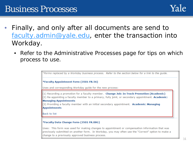

- Finally, and only after all documents are send to [faculty.admin@yale.edu,](mailto:faculty.admin@yale.edu) enter the transaction into Workday.
	- Refer to the Administrative Processes page for tips on which process to use.

\*Forms replaced by a Workday business process. Refer to the section below for a link to the quide.

#### \*Faculty Appointment Form (3501 FR.56)

Uses and corresponding Workday guide for the new process:

(1) Recording a promotion for a faculty member. Change Job: In Track Promotion (Academic)

(2) Re-appointing a faculty member to a primary, fully joint, or secondary appointment. Academic:

#### **Managing Appointments**

(3) Providing a faculty member with an initial secondary appointment. Academic: Managing **Appointments** 

**Back to list** 

#### \*Faculty Data Change Form (3501 FR.08G)

Uses: This form was used for making changes to appointment or compensation information that was previously submitted on another form. In Workday, you may often use the "Correct" option to make a change to a previously approved business process.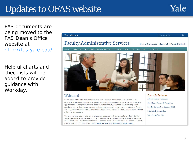# Updates to OFAS website



FAS documents are being moved to the FAS Dean's Office website at <http://fas.yale.edu/>

Helpful charts and checklists will be added to provide guidance with Workday.



### Welcome!

Yale's Office of Faculty Administrative Services (OFAS) is the branch of the Office of the Provost that provides support to academic administrators responsible for all facets of faculty appointments. The specific areas supported include faculty searches and recruiting; initial appointments; reviews for promotions and reappointments; faculty leaves of absence; faculty tracking and reporting; faculty retirements, resignations, and separations; and interpretation of policies and procedures.

The primary emphasis of this site is to provide guidance with the procedures related to the above mentioned areas for all schools at Yale with the exceptions of the Schools of Medicine and Public Health. Guidance for these two schools can be found online at the Office of Faculty Affairs, Yale School of Medicine (http://medicine.yale.edu/facultyaffairs/index.aspx).

Forms & Systems **Administrative Processes** Checklists, Forms, & Templates Faculty Information System (FIS) Interfolio ByCommittee Workday @Yale site